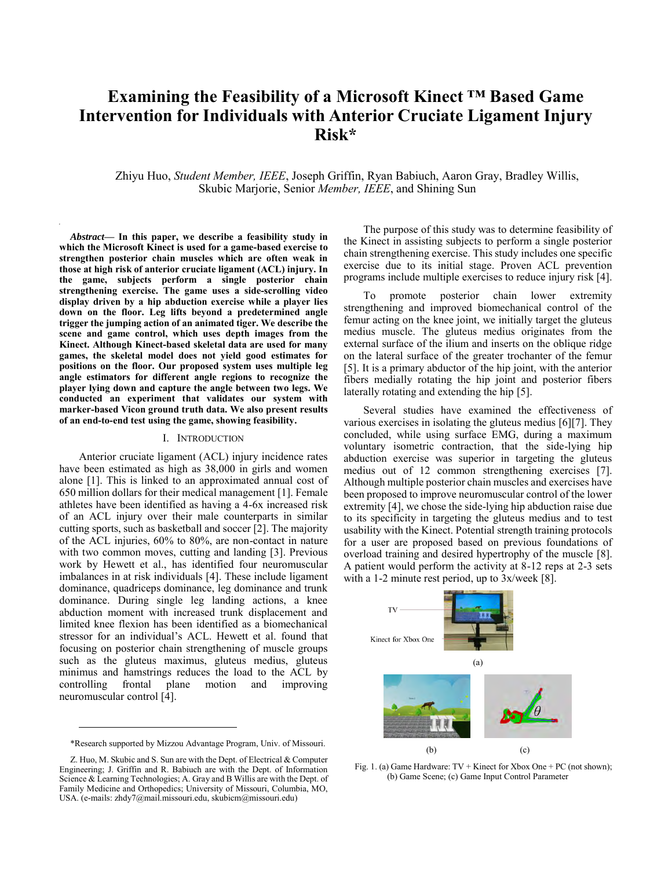# **Examining the Feasibility of a Microsoft Kinect ™ Based Game Intervention for Individuals with Anterior Cruciate Ligament Injury Risk\***

Zhiyu Huo, *Student Member, IEEE*, Joseph Griffin, Ryan Babiuch, Aaron Gray, Bradley Willis, Skubic Marjorie, Senior *Member, IEEE*, and Shining Sun

*Abstract***— In this paper, we describe a feasibility study in which the Microsoft Kinect is used for a game-based exercise to strengthen posterior chain muscles which are often weak in those at high risk of anterior cruciate ligament (ACL) injury. In the game, subjects perform a single posterior chain strengthening exercise. The game uses a side-scrolling video display driven by a hip abduction exercise while a player lies down on the floor. Leg lifts beyond a predetermined angle trigger the jumping action of an animated tiger. We describe the scene and game control, which uses depth images from the Kinect. Although Kinect-based skeletal data are used for many games, the skeletal model does not yield good estimates for positions on the floor. Our proposed system uses multiple leg angle estimators for different angle regions to recognize the player lying down and capture the angle between two legs. We conducted an experiment that validates our system with marker-based Vicon ground truth data. We also present results of an end-to-end test using the game, showing feasibility.** 

#### I. INTRODUCTION

Anterior cruciate ligament (ACL) injury incidence rates have been estimated as high as 38,000 in girls and women alone [\[1\].](#page-3-0) This is linked to an approximated annual cost of 650 million dollars for their medical management [\[1\].](#page-3-0) Female athletes have been identified as having a 4-6x increased risk of an ACL injury over their male counterparts in similar cutting sports, such as basketball and soccer [\[2\].](#page-3-1) The majority of the ACL injuries, 60% to 80%, are non-contact in nature with two common moves, cutting and landing [\[3\].](#page-3-2) Previous work by Hewett et al., has identified four neuromuscular imbalances in at risk individuals [\[4\].](#page-3-3) These include ligament dominance, quadriceps dominance, leg dominance and trunk dominance. During single leg landing actions, a knee abduction moment with increased trunk displacement and limited knee flexion has been identified as a biomechanical stressor for an individual's ACL. Hewett et al. found that focusing on posterior chain strengthening of muscle groups such as the gluteus maximus, gluteus medius, gluteus minimus and hamstrings reduces the load to the ACL by controlling frontal plane motion and improving neuromuscular contro[l \[4\].](#page-3-3) 

 $\overline{a}$ 

The purpose of this study was to determine feasibility of the Kinect in assisting subjects to perform a single posterior chain strengthening exercise. This study includes one specific exercise due to its initial stage. Proven ACL prevention programs include multiple exercises to reduce injury ris[k \[4\].](#page-3-3) 

To promote posterior chain lower extremity strengthening and improved biomechanical control of the femur acting on the knee joint, we initially target the gluteus medius muscle. The gluteus medius originates from the external surface of the ilium and inserts on the oblique ridge on the lateral surface of the greater trochanter of the femur [\[5\].](#page-3-4) It is a primary abductor of the hip joint, with the anterior fibers medially rotating the hip joint and posterior fibers laterally rotating and extending the hip [\[5\].](#page-3-4)

Several studies have examined the effectiveness of various exercises in isolating the gluteus medius [\[6\]\[7\].](#page-3-5) They concluded, while using surface EMG, during a maximum voluntary isometric contraction, that the side-lying hip abduction exercise was superior in targeting the gluteus medius out of 12 common strengthening exercises [\[7\].](#page-3-6) Although multiple posterior chain muscles and exercises have been proposed to improve neuromuscular control of the lower extremity [\[4\],](#page-3-3) we chose the side-lying hip abduction raise due to its specificity in targeting the gluteus medius and to test usability with the Kinect. Potential strength training protocols for a user are proposed based on previous foundations of overload training and desired hypertrophy of the muscle [\[8\].](#page-3-7) A patient would perform the activity at 8-12 reps at 2-3 sets with a 1-2 minute rest period, up to 3x/week [\[8\].](#page-3-7)



<span id="page-0-0"></span>Fig. 1. (a) Game Hardware: TV + Kinect for Xbox One + PC (not shown); (b) Game Scene; (c) Game Input Control Parameter

<sup>\*</sup>Research supported by Mizzou Advantage Program, Univ. of Missouri.

Z. Huo, M. Skubic and S. Sun are with the Dept. of Electrical & Computer Engineering; J. Griffin and R. Babiuch are with the Dept. of Information Science & Learning Technologies; A. Gray and B Willis are with the Dept. of Family Medicine and Orthopedics; University of Missouri, Columbia, MO, USA. (e-mails: zhdy7@mail.missouri.edu, skubicm@missouri.edu)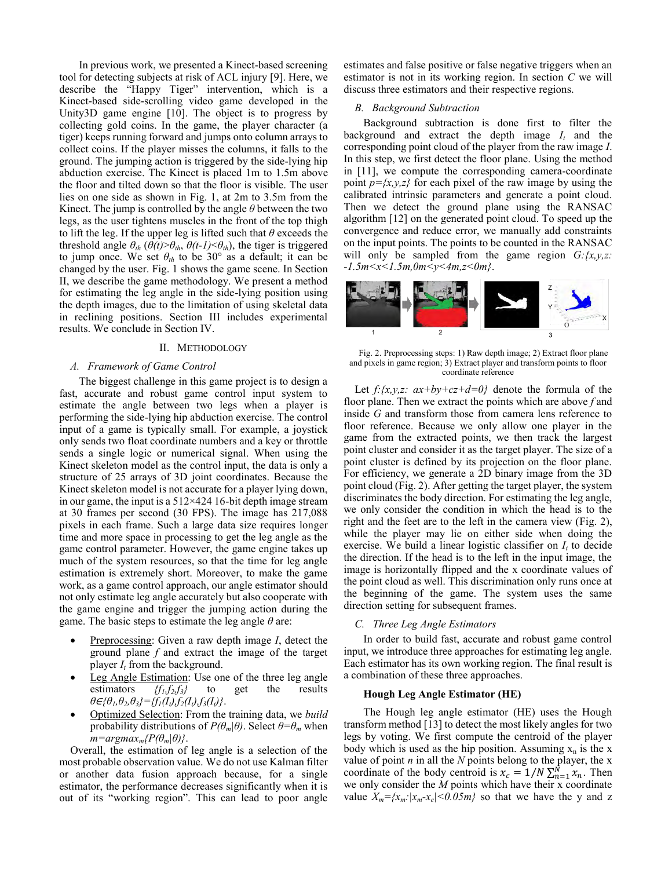In previous work, we presented a Kinect-based screening tool for detecting subjects at risk of ACL injury [\[9\].](#page-3-8) Here, we describe the "Happy Tiger" intervention, which is a Kinect-based side-scrolling video game developed in the Unity3D game engine [\[10\].](#page-3-9) The object is to progress by collecting gold coins. In the game, the player character (a tiger) keeps running forward and jumps onto column arrays to collect coins. If the player misses the columns, it falls to the ground. The jumping action is triggered by the side-lying hip abduction exercise. The Kinect is placed 1m to 1.5m above the floor and tilted down so that the floor is visible. The user lies on one side as shown in Fig. 1, at 2m to 3.5m from the Kinect. The jump is controlled by the angle *θ* between the two legs, as the user tightens muscles in the front of the top thigh to lift the leg. If the upper leg is lifted such that *θ* exceeds the threshold angle  $\theta_{th}$  ( $\theta(t) > \theta_{th}$ ,  $\theta(t-1) < \theta_{th}$ ), the tiger is triggered to jump once. We set  $\theta_{th}$  to be 30° as a default; it can be changed by the user[. Fig. 1](#page-0-0) shows the game scene. In Section II, we describe the game methodology. We present a method for estimating the leg angle in the side-lying position using the depth images, due to the limitation of using skeletal data in reclining positions. Section III includes experimental results. We conclude in Section IV.

## II. METHODOLOGY

#### *A. Framework of Game Control*

The biggest challenge in this game project is to design a fast, accurate and robust game control input system to estimate the angle between two legs when a player is performing the side-lying hip abduction exercise. The control input of a game is typically small. For example, a joystick only sends two float coordinate numbers and a key or throttle sends a single logic or numerical signal. When using the Kinect skeleton model as the control input, the data is only a structure of 25 arrays of 3D joint coordinates. Because the Kinect skeleton model is not accurate for a player lying down, in our game, the input is a 512×424 16-bit depth image stream at 30 frames per second (30 FPS). The image has 217,088 pixels in each frame. Such a large data size requires longer time and more space in processing to get the leg angle as the game control parameter. However, the game engine takes up much of the system resources, so that the time for leg angle estimation is extremely short. Moreover, to make the game work, as a game control approach, our angle estimator should not only estimate leg angle accurately but also cooperate with the game engine and trigger the jumping action during the game. The basic steps to estimate the leg angle *θ* are:

- Preprocessing: Given a raw depth image *I*, detect the ground plane *f* and extract the image of the target player *I<sup>t</sup>* from the background.
- Leg Angle Estimation: Use one of the three leg angle estimators  ${f_1, f_2, f_3}$  to get the results *θ*∈*{θ1,θ2,θ3}={f1(It),f2(It),f3(It)}*.
- Optimized Selection: From the training data, we *build* probability distributions of  $P(\theta_m|\theta)$ . Select  $\theta = \theta_m$  when  $m = \text{argmax}_{m} \{P(\theta_m|\theta)\}.$

Overall, the estimation of leg angle is a selection of the most probable observation value. We do not use Kalman filter or another data fusion approach because, for a single estimator, the performance decreases significantly when it is out of its "working region". This can lead to poor angle

estimates and false positive or false negative triggers when an estimator is not in its working region. In section *C* we will discuss three estimators and their respective regions.

## *B. Background Subtraction*

Background subtraction is done first to filter the background and extract the depth image  $I_t$  and the corresponding point cloud of the player from the raw image *I*. In this step, we first detect the floor plane. Using the method in [\[11\],](#page-3-10) we compute the corresponding camera-coordinate point  $p=\{x,y,z\}$  for each pixel of the raw image by using the calibrated intrinsic parameters and generate a point cloud. Then we detect the ground plane using the RANSAC algorithm [\[12\]](#page-3-11) on the generated point cloud. To speed up the convergence and reduce error, we manually add constraints on the input points. The points to be counted in the RANSAC will only be sampled from the game region  $G: \{x, y, z\}$ . *-1.5m<x<1.5m,0m<y<4m,z<0m}*.



<span id="page-1-0"></span>Fig. 2. Preprocessing steps: 1) Raw depth image; 2) Extract floor plane and pixels in game region; 3) Extract player and transform points to floor coordinate reference

Let  $f: \{x, y, z: ax + by + cz + d = 0\}$  denote the formula of the floor plane. Then we extract the points which are above *f* and inside *G* and transform those from camera lens reference to floor reference. Because we only allow one player in the game from the extracted points, we then track the largest point cluster and consider it as the target player. The size of a point cluster is defined by its projection on the floor plane. For efficiency, we generate a 2D binary image from the 3D point cloud [\(Fig. 2\)](#page-1-0). After getting the target player, the system discriminates the body direction. For estimating the leg angle, we only consider the condition in which the head is to the right and the feet are to the left in the camera view [\(Fig. 2\)](#page-1-0), while the player may lie on either side when doing the exercise. We build a linear logistic classifier on  $I_t$  to decide the direction. If the head is to the left in the input image, the image is horizontally flipped and the x coordinate values of the point cloud as well. This discrimination only runs once at the beginning of the game. The system uses the same direction setting for subsequent frames.

## *C. Three Leg Angle Estimators*

In order to build fast, accurate and robust game control input, we introduce three approaches for estimating leg angle. Each estimator has its own working region. The final result is a combination of these three approaches.

#### **Hough Leg Angle Estimator (HE)**

The Hough leg angle estimator (HE) uses the Hough transform metho[d \[13\]](#page-3-12) to detect the most likely angles for two legs by voting. We first compute the centroid of the player body which is used as the hip position. Assuming  $x_n$  is the x value of point *n* in all the *N* points belong to the player, the x coordinate of the body centroid is  $x_c = 1/N \sum_{n=1}^{N} x_n$ . Then we only consider the *M* points which have their x coordinate value  $X_m = \{x_m : |x_m - x_c| \le 0.05m\}$  so that we have the y and z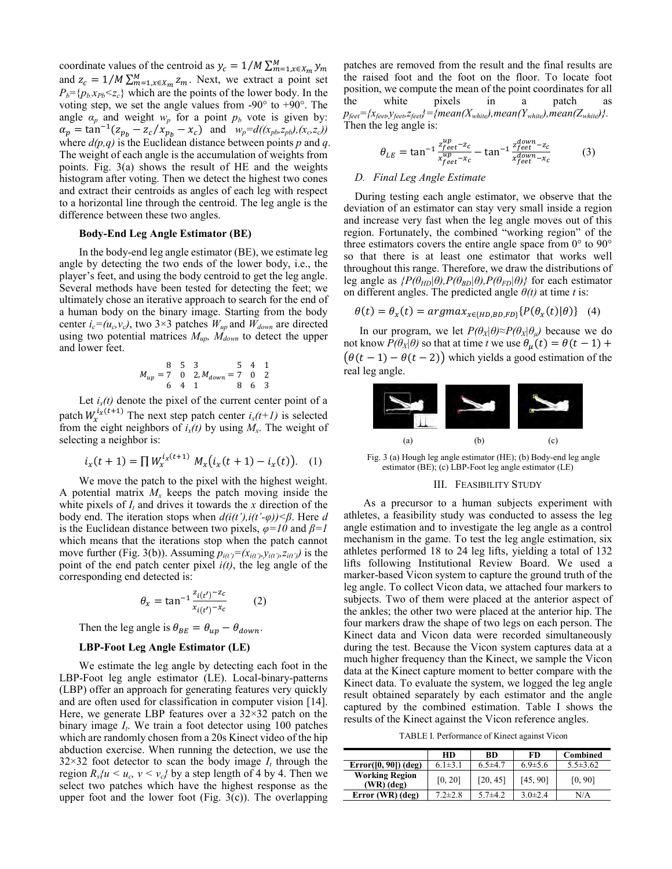coordinate values of the centroid as  $y_c = 1/M \sum_{m=1, x \in X_m}^{M} y_m$ and  $z_c = 1/M \sum_{m=1, x \in X_m}^M z_m$ . Next, we extract a point set  $P_b = \{p_b x_{Pb} < z_c\}$  which are the points of the lower body. In the voting step, we set the angle values from  $-90^\circ$  to  $+90^\circ$ . The angle  $\alpha_p$  and weight  $w_p$  for a point  $p_b$  vote is given by:  $\alpha_p = \tan^{-1}(z_{p_b} - z_c/x_{p_b} - x_c)$  and  $w_p = d((x_{pb}, z_{pb}), (x_c, z_c))$ where  $d(p,q)$  is the Euclidean distance between points *p* and *q*. The weight of each angle is the accumulation of weights from points. [Fig. 3\(](#page-2-0)a) shows the result of HE and the weights histogram after voting. Then we detect the highest two cones and extract their centroids as angles of each leg with respect to a horizontal line through the centroid. The leg angle is the difference between these two angles.

## **Body-End Leg Angle Estimator (BE)**

In the body-end leg angle estimator (BE), we estimate leg angle by detecting the two ends of the lower body, i.e., the player's feet, and using the body centroid to get the leg angle. Several methods have been tested for detecting the feet; we ultimately chose an iterative approach to search for the end of a human body on the binary image. Starting from the body center  $i_c = (u_c, v_c)$ , two 3×3 patches  $W_{up}$  and  $W_{down}$  are directed using two potential matrices *Mup, Mdown* to detect the upper and lower feet.

$$
M_{up} = \begin{matrix} 8 & 5 & 3 & 5 & 4 & 1 \\ 7 & 0 & 2, M_{down} = 7 & 0 & 2 \\ 6 & 4 & 1 & 8 & 6 & 3 \end{matrix}
$$

Let  $i_x(t)$  denote the pixel of the current center point of a patch  $W_x^{i_X(t+1)}$  The next step patch center  $i_X(t+1)$  is selected from the eight neighbors of  $i_x(t)$  by using  $M_x$ . The weight of selecting a neighbor is:

$$
i_x(t+1) = \prod W_x^{i_x(t+1)} M_x(i_x(t+1) - i_x(t)). \quad (1)
$$

We move the patch to the pixel with the highest weight. A potential matrix  $M_x$  keeps the patch moving inside the white pixels of  $I_t$  and drives it towards the  $x$  direction of the body end. The iteration stops when *d(i(t'),i(t'-φ))<β*. Here *d*  is the Euclidean distance between two pixels, *φ=10* and *β=1* which means that the iterations stop when the patch cannot move further [\(Fig. 3\(](#page-2-0)b)). Assuming  $p_{i(t)} = (x_{i(t)}, y_{i(t)}, z_{i(t)})$  is the point of the end patch center pixel *i(t)*, the leg angle of the corresponding end detected is:

$$
\theta_x = \tan^{-1} \frac{z_{i(t')}-z_c}{x_{i(t')}-x_c} \tag{2}
$$

Then the leg angle is  $\theta_{BE} = \theta_{up} - \theta_{down}$ .

## **LBP-Foot Leg Angle Estimator (LE)**

We estimate the leg angle by detecting each foot in the LBP-Foot leg angle estimator (LE). Local-binary-patterns (LBP) offer an approach for generating features very quickly and are often used for classification in computer vision [\[14\].](#page-3-13)  Here, we generate LBP features over a  $32\times32$  patch on the binary image *I<sup>t</sup>* . We train a foot detector using 100 patches which are randomly chosen from a 20s Kinect video of the hip abduction exercise. When running the detection, we use the  $32 \times 32$  foot detector to scan the body image  $I_t$  through the region  $R_s/u \leq u_c$ ,  $v \leq v_c$ *}* by a step length of 4 by 4. Then we select two patches which have the highest response as the upper foot and the lower foot (Fig.  $3(c)$ ). The overlapping

patches are removed from the result and the final results are the raised foot and the foot on the floor. To locate foot position, we compute the mean of the point coordinates for all the white pixels in a patch as  $p_{\text{feet}} = \{x_{\text{feet}}$ , $y_{\text{feet}}$ , $z_{\text{feet}}\} = \{mean(X_{\text{white}})$ , mean( $Y_{\text{white}}$ ), mean( $Z_{\text{white}}$ )}. Then the leg angle is:

$$
\theta_{LE} = \tan^{-1} \frac{z_{feet}^{up} - z_c}{x_{feet}^{up} - x_c} - \tan^{-1} \frac{z_{feet}^{down} - z_c}{x_{feet}^{down} - x_c}
$$
(3)

−

## *D. Final Leg Angle Estimate*

During testing each angle estimator, we observe that the deviation of an estimator can stay very small inside a region and increase very fast when the leg angle moves out of this region. Fortunately, the combined "working region" of the three estimators covers the entire angle space from 0° to 90° so that there is at least one estimator that works well throughout this range. Therefore, we draw the distributions of leg angle as  ${P(\theta_{HD}|\theta), P(\theta_{BD}|\theta), P(\theta_{FD}|\theta)}$  for each estimator on different angles. The predicted angle  $\theta(t)$  at time *t* is:

$$
\theta(t) = \theta_x(t) = argmax_{x \in \{HD, BD, FD\}} \{P(\theta_x(t)|\theta)\} \tag{4}
$$

In our program, we let  $P(\theta_X|\theta) \approx P(\theta_X|\theta_\mu)$  because we do not know  $P(\theta_X|\theta)$  so that at time *t* we use  $\theta_\mu(t) = \theta(t-1) + \theta(t-1)$  $(\theta(t-1)-\theta(t-2))$  which yields a good estimation of the real leg angle.



<span id="page-2-0"></span>Fig. 3 (a) Hough leg angle estimator (HE); (b) Body-end leg angle estimator (BE); (c) LBP-Foot leg angle estimator (LE)

#### III. FEASIBILITY STUDY

As a precursor to a human subjects experiment with athletes, a feasibility study was conducted to assess the leg angle estimation and to investigate the leg angle as a control mechanism in the game. To test the leg angle estimation, six athletes performed 18 to 24 leg lifts, yielding a total of 132 lifts following Institutional Review Board. We used a marker-based Vicon system to capture the ground truth of the leg angle. To collect Vicon data, we attached four markers to subjects. Two of them were placed at the anterior aspect of the ankles; the other two were placed at the anterior hip. The four markers draw the shape of two legs on each person. The Kinect data and Vicon data were recorded simultaneously during the test. Because the Vicon system captures data at a much higher frequency than the Kinect, we sample the Vicon data at the Kinect capture moment to better compare with the Kinect data. To evaluate the system, we logged the leg angle result obtained separately by each estimator and the angle captured by the combined estimation. Table I shows the results of the Kinect against the Vicon reference angles.

TABLE I. Performance of Kinect against Vicon

|                                    | <b>HD</b>     | <b>BD</b>     | FD            | Combined       |
|------------------------------------|---------------|---------------|---------------|----------------|
| $Error([0, 90])$ (deg)             | $6.1\pm3.1$   | $6.5 \pm 4.7$ | $6.9 \pm 5.6$ | $5.5 \pm 3.62$ |
| <b>Working Region</b><br>(WR)(deg) | [0, 20]       | [20, 45]      | [45, 90]      | [0, 90]        |
| Error (WR) (deg)                   | $7.2 \pm 2.8$ | $5.7 + 4.2$   | $3.0\pm2.4$   | N/A            |